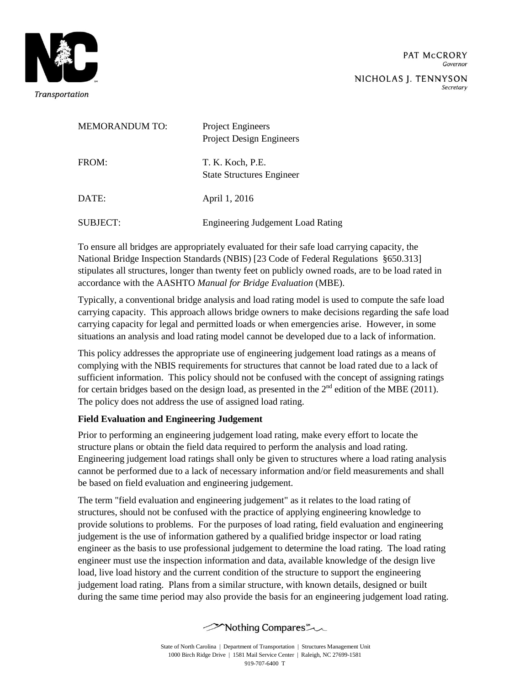

Secretary

| <b>MEMORANDUM TO:</b> | Project Engineers<br><b>Project Design Engineers</b> |
|-----------------------|------------------------------------------------------|
| FROM:                 | T. K. Koch, P.E.<br><b>State Structures Engineer</b> |
| DATE:                 | April 1, 2016                                        |
| SUBJECT:              | <b>Engineering Judgement Load Rating</b>             |

To ensure all bridges are appropriately evaluated for their safe load carrying capacity, the National Bridge Inspection Standards (NBIS) [23 Code of Federal Regulations §650.313] stipulates all structures, longer than twenty feet on publicly owned roads, are to be load rated in accordance with the AASHTO *Manual for Bridge Evaluation* (MBE).

Typically, a conventional bridge analysis and load rating model is used to compute the safe load carrying capacity. This approach allows bridge owners to make decisions regarding the safe load carrying capacity for legal and permitted loads or when emergencies arise. However, in some situations an analysis and load rating model cannot be developed due to a lack of information.

This policy addresses the appropriate use of engineering judgement load ratings as a means of complying with the NBIS requirements for structures that cannot be load rated due to a lack of sufficient information. This policy should not be confused with the concept of assigning ratings for certain bridges based on the design load, as presented in the  $2<sup>nd</sup>$  edition of the MBE (2011). The policy does not address the use of assigned load rating.

## **Field Evaluation and Engineering Judgement**

Prior to performing an engineering judgement load rating, make every effort to locate the structure plans or obtain the field data required to perform the analysis and load rating. Engineering judgement load ratings shall only be given to structures where a load rating analysis cannot be performed due to a lack of necessary information and/or field measurements and shall be based on field evaluation and engineering judgement.

The term "field evaluation and engineering judgement" as it relates to the load rating of structures, should not be confused with the practice of applying engineering knowledge to provide solutions to problems. For the purposes of load rating, field evaluation and engineering judgement is the use of information gathered by a qualified bridge inspector or load rating engineer as the basis to use professional judgement to determine the load rating. The load rating engineer must use the inspection information and data, available knowledge of the design live load, live load history and the current condition of the structure to support the engineering judgement load rating. Plans from a similar structure, with known details, designed or built during the same time period may also provide the basis for an engineering judgement load rating.

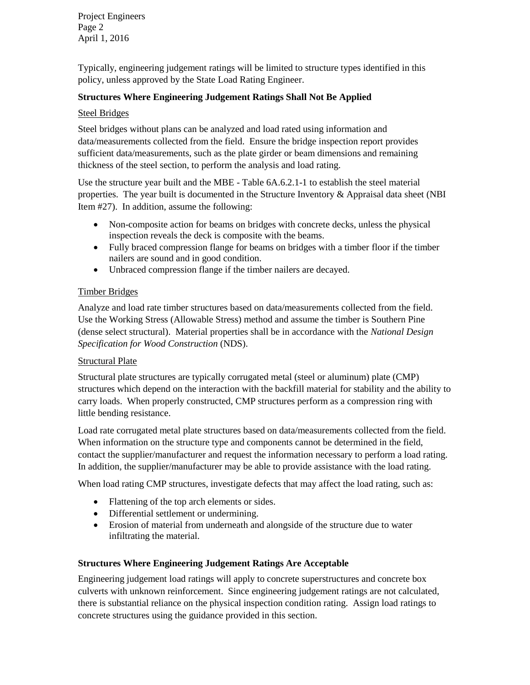Project Engineers Page 2 April 1, 2016

Typically, engineering judgement ratings will be limited to structure types identified in this policy, unless approved by the State Load Rating Engineer.

## **Structures Where Engineering Judgement Ratings Shall Not Be Applied**

### Steel Bridges

Steel bridges without plans can be analyzed and load rated using information and data/measurements collected from the field. Ensure the bridge inspection report provides sufficient data/measurements, such as the plate girder or beam dimensions and remaining thickness of the steel section, to perform the analysis and load rating.

Use the structure year built and the MBE - Table 6A.6.2.1-1 to establish the steel material properties. The year built is documented in the Structure Inventory & Appraisal data sheet (NBI Item #27). In addition, assume the following:

- Non-composite action for beams on bridges with concrete decks, unless the physical inspection reveals the deck is composite with the beams.
- Fully braced compression flange for beams on bridges with a timber floor if the timber nailers are sound and in good condition.
- Unbraced compression flange if the timber nailers are decayed.

## Timber Bridges

Analyze and load rate timber structures based on data/measurements collected from the field. Use the Working Stress (Allowable Stress) method and assume the timber is Southern Pine (dense select structural). Material properties shall be in accordance with the *National Design Specification for Wood Construction* (NDS).

## **Structural Plate**

Structural plate structures are typically corrugated metal (steel or aluminum) plate (CMP) structures which depend on the interaction with the backfill material for stability and the ability to carry loads. When properly constructed, CMP structures perform as a compression ring with little bending resistance.

Load rate corrugated metal plate structures based on data/measurements collected from the field. When information on the structure type and components cannot be determined in the field, contact the supplier/manufacturer and request the information necessary to perform a load rating. In addition, the supplier/manufacturer may be able to provide assistance with the load rating.

When load rating CMP structures, investigate defects that may affect the load rating, such as:

- Flattening of the top arch elements or sides.
- Differential settlement or undermining.
- Erosion of material from underneath and alongside of the structure due to water infiltrating the material.

### **Structures Where Engineering Judgement Ratings Are Acceptable**

Engineering judgement load ratings will apply to concrete superstructures and concrete box culverts with unknown reinforcement. Since engineering judgement ratings are not calculated, there is substantial reliance on the physical inspection condition rating. Assign load ratings to concrete structures using the guidance provided in this section.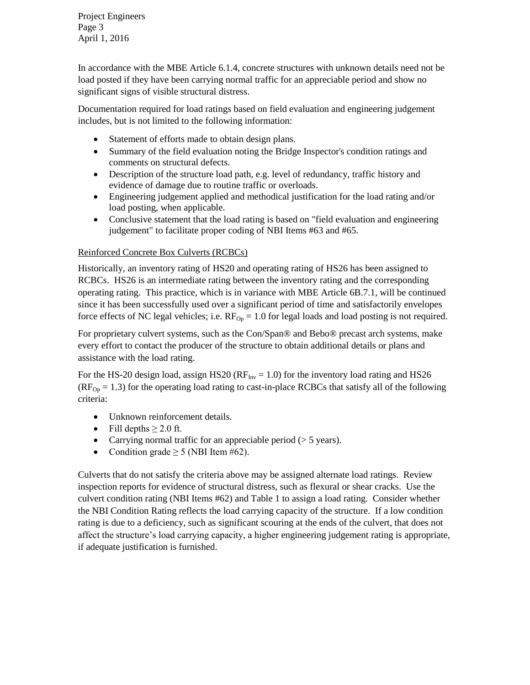Project Engineers Page 3 April 1, 2016

In accordance with the MBE Article 6.1.4, concrete structures with unknown details need not be load posted if they have been carrying normal traffic for an appreciable period and show no significant signs of visible structural distress.

Documentation required for load ratings based on field evaluation and engineering judgement includes, but is not limited to the following information:

- Statement of efforts made to obtain design plans.
- Summary of the field evaluation noting the Bridge Inspector's condition ratings and comments on structural defects.
- Description of the structure load path, e.g. level of redundancy, traffic history and evidence of damage due to routine traffic or overloads.
- Engineering judgement applied and methodical justification for the load rating and/or load posting, when applicable.
- Conclusive statement that the load rating is based on "field evaluation and engineering judgement" to facilitate proper coding of NBI Items #63 and #65.

# Reinforced Concrete Box Culverts (RCBCs)

Historically, an inventory rating of HS20 and operating rating of HS26 has been assigned to RCBCs. HS26 is an intermediate rating between the inventory rating and the corresponding operating rating. This practice, which is in variance with MBE Article 6B.7.1, will be continued since it has been successfully used over a significant period of time and satisfactorily envelopes force effects of NC legal vehicles; i.e.  $RF_{Op} = 1.0$  for legal loads and load posting is not required.

For proprietary culvert systems, such as the Con/Span® and Bebo® precast arch systems, make every effort to contact the producer of the structure to obtain additional details or plans and assistance with the load rating.

For the HS-20 design load, assign HS20 ( $RF_{Inv} = 1.0$ ) for the inventory load rating and HS26  $(RF<sub>On</sub> = 1.3)$  for the operating load rating to cast-in-place RCBCs that satisfy all of the following criteria:

- Unknown reinforcement details.
- Fill depths  $\geq 2.0$  ft.
- Carrying normal traffic for an appreciable period  $(> 5 \text{ years})$ .
- Condition grade  $\geq 5$  (NBI Item #62).

Culverts that do not satisfy the criteria above may be assigned alternate load ratings. Review inspection reports for evidence of structural distress, such as flexural or shear cracks. Use the culvert condition rating (NBI Items #62) and Table 1 to assign a load rating. Consider whether the NBI Condition Rating reflects the load carrying capacity of the structure. If a low condition rating is due to a deficiency, such as significant scouring at the ends of the culvert, that does not affect the structure's load carrying capacity, a higher engineering judgement rating is appropriate, if adequate justification is furnished.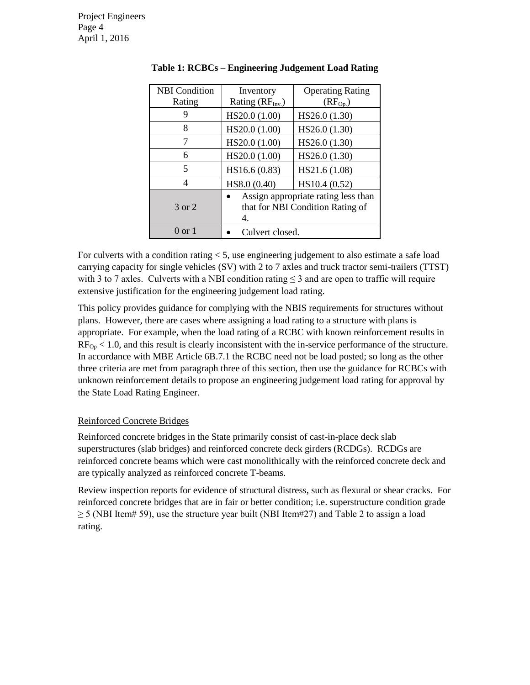| <b>NBI</b> Condition | Inventory                                                                     | <b>Operating Rating</b> |
|----------------------|-------------------------------------------------------------------------------|-------------------------|
| Rating               | Rating (RF <sub>Inv.</sub> )                                                  | $(RF_{Op})$             |
|                      | HS20.0 (1.00)                                                                 | HS26.0 (1.30)           |
| 8                    | HS20.0 (1.00)                                                                 | HS26.0 (1.30)           |
| 7                    | HS20.0 (1.00)                                                                 | HS26.0 (1.30)           |
| 6                    | HS20.0 (1.00)                                                                 | HS26.0 (1.30)           |
| 5                    | HS16.6 (0.83)                                                                 | HS21.6 (1.08)           |
|                      | HS8.0 (0.40)                                                                  | HS10.4 (0.52)           |
| 3 or 2               | Assign appropriate rating less than<br>that for NBI Condition Rating of<br>4. |                         |
| $0 \text{ or } 1$    | Culvert closed.                                                               |                         |

| Table 1: RCBCs - Engineering Judgement Load Rating |  |  |  |
|----------------------------------------------------|--|--|--|
|----------------------------------------------------|--|--|--|

For culverts with a condition rating < 5, use engineering judgement to also estimate a safe load carrying capacity for single vehicles (SV) with 2 to 7 axles and truck tractor semi-trailers (TTST) with 3 to 7 axles. Culverts with a NBI condition rating  $\leq$  3 and are open to traffic will require extensive justification for the engineering judgement load rating.

This policy provides guidance for complying with the NBIS requirements for structures without plans. However, there are cases where assigning a load rating to a structure with plans is appropriate. For example, when the load rating of a RCBC with known reinforcement results in  $RF_{0p}$  < 1.0, and this result is clearly inconsistent with the in-service performance of the structure. In accordance with MBE Article 6B.7.1 the RCBC need not be load posted; so long as the other three criteria are met from paragraph three of this section, then use the guidance for RCBCs with unknown reinforcement details to propose an engineering judgement load rating for approval by the State Load Rating Engineer.

### Reinforced Concrete Bridges

Reinforced concrete bridges in the State primarily consist of cast-in-place deck slab superstructures (slab bridges) and reinforced concrete deck girders (RCDGs). RCDGs are reinforced concrete beams which were cast monolithically with the reinforced concrete deck and are typically analyzed as reinforced concrete T-beams.

Review inspection reports for evidence of structural distress, such as flexural or shear cracks. For reinforced concrete bridges that are in fair or better condition; i.e. superstructure condition grade  $\geq$  5 (NBI Item# 59), use the structure year built (NBI Item#27) and Table 2 to assign a load rating.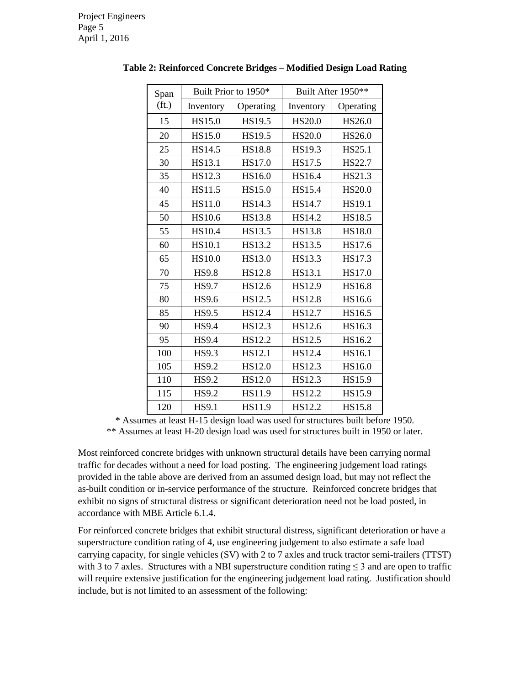| Span              | Built Prior to 1950* |               | Built After 1950** |               |
|-------------------|----------------------|---------------|--------------------|---------------|
| (f <sub>t</sub> ) | Inventory            | Operating     | Inventory          | Operating     |
| 15                | HS15.0               | HS19.5        | <b>HS20.0</b>      | HS26.0        |
| 20                | HS15.0               | HS19.5        | <b>HS20.0</b>      | HS26.0        |
| 25                | HS14.5               | <b>HS18.8</b> | HS19.3             | HS25.1        |
| 30                | HS13.1               | HS17.0        | HS17.5             | HS22.7        |
| 35                | HS12.3               | HS16.0        | HS16.4             | HS21.3        |
| 40                | <b>HS11.5</b>        | HS15.0        | HS15.4             | HS20.0        |
| 45                | HS11.0               | HS14.3        | <b>HS14.7</b>      | HS19.1        |
| 50                | <b>HS10.6</b>        | <b>HS13.8</b> | HS14.2             | <b>HS18.5</b> |
| 55                | <b>HS10.4</b>        | HS13.5        | <b>HS13.8</b>      | <b>HS18.0</b> |
| 60                | HS10.1               | HS13.2        | HS13.5             | HS17.6        |
| 65                | <b>HS10.0</b>        | HS13.0        | <b>HS13.3</b>      | HS17.3        |
| 70                | <b>HS9.8</b>         | <b>HS12.8</b> | HS13.1             | HS17.0        |
| 75                | <b>HS9.7</b>         | HS12.6        | HS12.9             | HS16.8        |
| 80                | <b>HS9.6</b>         | HS12.5        | <b>HS12.8</b>      | HS16.6        |
| 85                | <b>HS9.5</b>         | HS12.4        | HS12.7             | HS16.5        |
| 90                | <b>HS9.4</b>         | HS12.3        | HS12.6             | HS16.3        |
| 95                | <b>HS9.4</b>         | HS12.2        | HS12.5             | HS16.2        |
| 100               | <b>HS9.3</b>         | HS12.1        | HS12.4             | HS16.1        |
| 105               | <b>HS9.2</b>         | HS12.0        | HS12.3             | HS16.0        |
| 110               | <b>HS9.2</b>         | HS12.0        | HS12.3             | HS15.9        |
| 115               | <b>HS9.2</b>         | HS11.9        | HS12.2             | HS15.9        |
| 120               | <b>HS9.1</b>         | HS11.9        | HS12.2             | <b>HS15.8</b> |

**Table 2: Reinforced Concrete Bridges – Modified Design Load Rating**

\* Assumes at least H-15 design load was used for structures built before 1950.

\*\* Assumes at least H-20 design load was used for structures built in 1950 or later.

Most reinforced concrete bridges with unknown structural details have been carrying normal traffic for decades without a need for load posting. The engineering judgement load ratings provided in the table above are derived from an assumed design load, but may not reflect the as-built condition or in-service performance of the structure. Reinforced concrete bridges that exhibit no signs of structural distress or significant deterioration need not be load posted, in accordance with MBE Article 6.1.4.

For reinforced concrete bridges that exhibit structural distress, significant deterioration or have a superstructure condition rating of 4, use engineering judgement to also estimate a safe load carrying capacity, for single vehicles (SV) with 2 to 7 axles and truck tractor semi-trailers (TTST) with 3 to 7 axles. Structures with a NBI superstructure condition rating  $\leq$  3 and are open to traffic will require extensive justification for the engineering judgement load rating. Justification should include, but is not limited to an assessment of the following: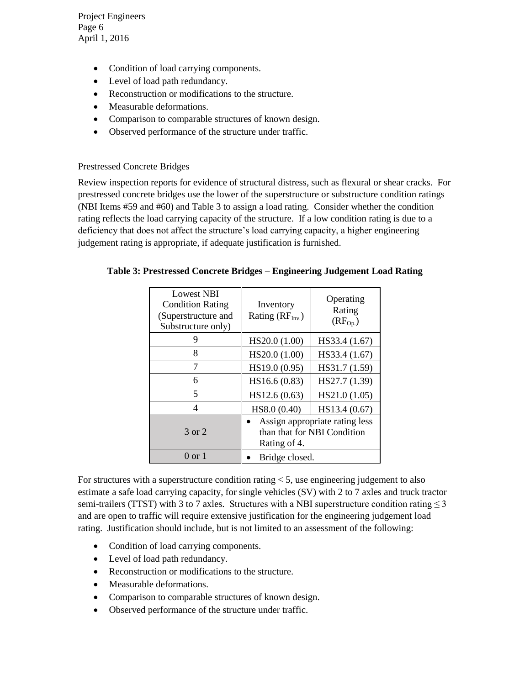Project Engineers Page 6 April 1, 2016

- Condition of load carrying components.
- Level of load path redundancy.
- Reconstruction or modifications to the structure.
- Measurable deformations.
- Comparison to comparable structures of known design.
- Observed performance of the structure under traffic.

### Prestressed Concrete Bridges

Review inspection reports for evidence of structural distress, such as flexural or shear cracks. For prestressed concrete bridges use the lower of the superstructure or substructure condition ratings (NBI Items #59 and #60) and Table 3 to assign a load rating. Consider whether the condition rating reflects the load carrying capacity of the structure. If a low condition rating is due to a deficiency that does not affect the structure's load carrying capacity, a higher engineering judgement rating is appropriate, if adequate justification is furnished.

| <b>Lowest NBI</b><br><b>Condition Rating</b><br>(Superstructure and<br>Substructure only) | Inventory<br>Rating $(RF_{Inv.})$                                             | Operating<br>Rating<br>$(RF_{Op})$ |
|-------------------------------------------------------------------------------------------|-------------------------------------------------------------------------------|------------------------------------|
| 9                                                                                         | HS20.0 (1.00)                                                                 | HS33.4 (1.67)                      |
| 8                                                                                         | HS20.0 (1.00)                                                                 | HS33.4 (1.67)                      |
|                                                                                           | HS19.0 (0.95)                                                                 | HS31.7 (1.59)                      |
| 6                                                                                         | HS16.6 (0.83)                                                                 | HS27.7 (1.39)                      |
| 5                                                                                         | HS12.6(0.63)                                                                  | HS21.0 (1.05)                      |
| 4                                                                                         | HS8.0 (0.40)                                                                  | HS13.4 (0.67)                      |
| 3 or 2                                                                                    | Assign appropriate rating less<br>than that for NBI Condition<br>Rating of 4. |                                    |
| $0 \text{ or } 1$                                                                         | Bridge closed.                                                                |                                    |

### **Table 3: Prestressed Concrete Bridges – Engineering Judgement Load Rating**

For structures with a superstructure condition rating  $< 5$ , use engineering judgement to also estimate a safe load carrying capacity, for single vehicles (SV) with 2 to 7 axles and truck tractor semi-trailers (TTST) with 3 to 7 axles. Structures with a NBI superstructure condition rating  $\leq$  3 and are open to traffic will require extensive justification for the engineering judgement load rating. Justification should include, but is not limited to an assessment of the following:

- Condition of load carrying components.
- Level of load path redundancy.
- Reconstruction or modifications to the structure.
- Measurable deformations.
- Comparison to comparable structures of known design.
- Observed performance of the structure under traffic.